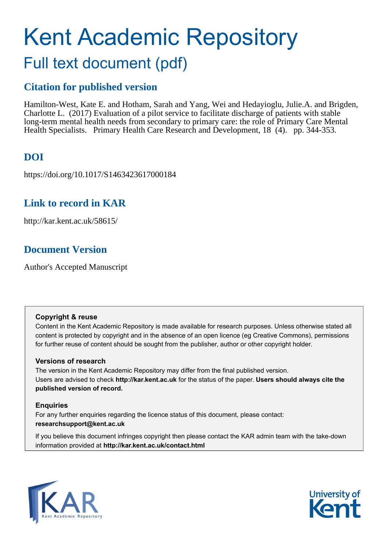# Kent Academic Repository Full text document (pdf)

# **Citation for published version**

Hamilton-West, Kate E. and Hotham, Sarah and Yang, Wei and Hedayioglu, Julie.A. and Brigden, Charlotte L. (2017) Evaluation of a pilot service to facilitate discharge of patients with stable long-term mental health needs from secondary to primary care: the role of Primary Care Mental Health Specialists. Primary Health Care Research and Development, 18 (4). pp. 344-353.

# **DOI**

https://doi.org/10.1017/S1463423617000184

# **Link to record in KAR**

http://kar.kent.ac.uk/58615/

# **Document Version**

Author's Accepted Manuscript

# **Copyright & reuse**

Content in the Kent Academic Repository is made available for research purposes. Unless otherwise stated all content is protected by copyright and in the absence of an open licence (eg Creative Commons), permissions for further reuse of content should be sought from the publisher, author or other copyright holder.

# **Versions of research**

The version in the Kent Academic Repository may differ from the final published version. Users are advised to check **http://kar.kent.ac.uk** for the status of the paper. **Users should always cite the published version of record.**

# **Enquiries**

For any further enquiries regarding the licence status of this document, please contact: **researchsupport@kent.ac.uk**

If you believe this document infringes copyright then please contact the KAR admin team with the take-down information provided at **http://kar.kent.ac.uk/contact.html**



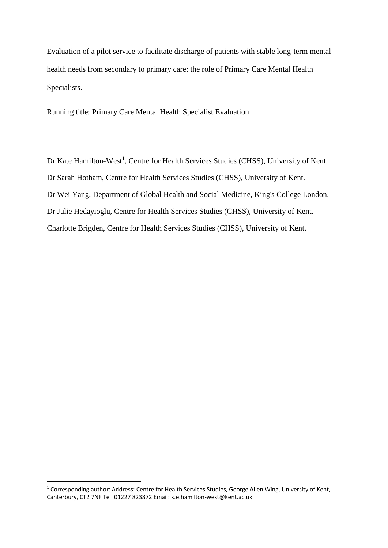Evaluation of a pilot service to facilitate discharge of patients with stable long-term mental health needs from secondary to primary care: the role of Primary Care Mental Health Specialists.

Running title: Primary Care Mental Health Specialist Evaluation

Dr Kate Hamilton-West<sup>1</sup>, Centre for Health Services Studies (CHSS), University of Kent. Dr Sarah Hotham, Centre for Health Services Studies (CHSS), University of Kent. Dr Wei Yang, Department of Global Health and Social Medicine, King's College London. Dr Julie Hedayioglu, Centre for Health Services Studies (CHSS), University of Kent. Charlotte Brigden, Centre for Health Services Studies (CHSS), University of Kent.

<u>.</u>

<sup>&</sup>lt;sup>1</sup> Corresponding author: Address: Centre for Health Services Studies, George Allen Wing, University of Kent, Canterbury, CT2 7NF Tel: 01227 823872 Email: k.e.hamilton-west@kent.ac.uk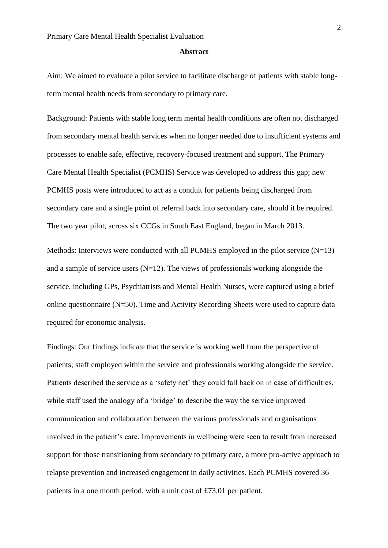#### **Abstract**

Aim: We aimed to evaluate a pilot service to facilitate discharge of patients with stable longterm mental health needs from secondary to primary care.

Background: Patients with stable long term mental health conditions are often not discharged from secondary mental health services when no longer needed due to insufficient systems and processes to enable safe, effective, recovery-focused treatment and support. The Primary Care Mental Health Specialist (PCMHS) Service was developed to address this gap; new PCMHS posts were introduced to act as a conduit for patients being discharged from secondary care and a single point of referral back into secondary care, should it be required. The two year pilot, across six CCGs in South East England, began in March 2013.

Methods: Interviews were conducted with all PCMHS employed in the pilot service  $(N=13)$ and a sample of service users  $(N=12)$ . The views of professionals working alongside the service, including GPs, Psychiatrists and Mental Health Nurses, were captured using a brief online questionnaire (N=50). Time and Activity Recording Sheets were used to capture data required for economic analysis.

Findings: Our findings indicate that the service is working well from the perspective of patients; staff employed within the service and professionals working alongside the service. Patients described the service as a 'safety net' they could fall back on in case of difficulties, while staff used the analogy of a 'bridge' to describe the way the service improved communication and collaboration between the various professionals and organisations involved in the patient's care. Improvements in wellbeing were seen to result from increased support for those transitioning from secondary to primary care, a more pro-active approach to relapse prevention and increased engagement in daily activities. Each PCMHS covered 36 patients in a one month period, with a unit cost of £73.01 per patient.

2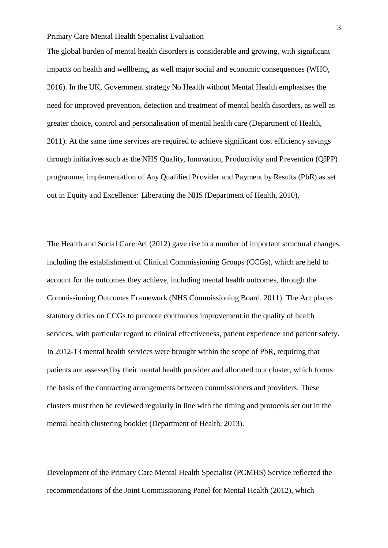The global burden of mental health disorders is considerable and growing, with significant impacts on health and wellbeing, as well major social and economic consequences (WHO, 2016). In the UK, Government strategy No Health without Mental Health emphasises the need for improved prevention, detection and treatment of mental health disorders, as well as greater choice, control and personalisation of mental health care (Department of Health, 2011). At the same time services are required to achieve significant cost efficiency savings through initiatives such as the NHS Quality, Innovation, Productivity and Prevention (QIPP) programme, implementation of Any Qualified Provider and Payment by Results (PbR) as set out in Equity and Excellence: Liberating the NHS (Department of Health, 2010).

The Health and Social Care Act (2012) gave rise to a number of important structural changes, including the establishment of Clinical Commissioning Groups (CCGs), which are held to account for the outcomes they achieve, including mental health outcomes, through the Commissioning Outcomes Framework (NHS Commissioning Board, 2011). The Act places statutory duties on CCGs to promote continuous improvement in the quality of health services, with particular regard to clinical effectiveness, patient experience and patient safety. In 2012-13 mental health services were brought within the scope of PbR, requiring that patients are assessed by their mental health provider and allocated to a cluster, which forms the basis of the contracting arrangements between commissioners and providers. These clusters must then be reviewed regularly in line with the timing and protocols set out in the mental health clustering booklet (Department of Health, 2013).

Development of the Primary Care Mental Health Specialist (PCMHS) Service reflected the recommendations of the Joint Commissioning Panel for Mental Health (2012), which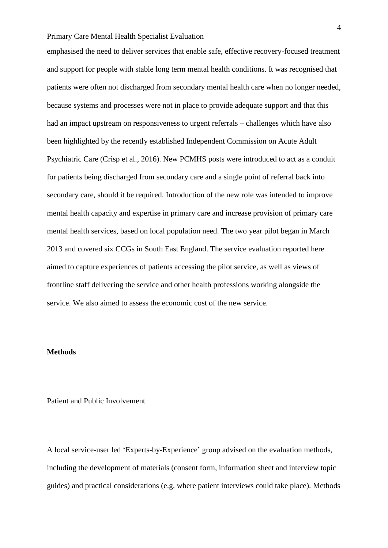emphasised the need to deliver services that enable safe, effective recovery-focused treatment and support for people with stable long term mental health conditions. It was recognised that patients were often not discharged from secondary mental health care when no longer needed, because systems and processes were not in place to provide adequate support and that this had an impact upstream on responsiveness to urgent referrals – challenges which have also been highlighted by the recently established Independent Commission on Acute Adult Psychiatric Care (Crisp et al., 2016). New PCMHS posts were introduced to act as a conduit for patients being discharged from secondary care and a single point of referral back into secondary care, should it be required. Introduction of the new role was intended to improve mental health capacity and expertise in primary care and increase provision of primary care mental health services, based on local population need. The two year pilot began in March 2013 and covered six CCGs in South East England. The service evaluation reported here aimed to capture experiences of patients accessing the pilot service, as well as views of frontline staff delivering the service and other health professions working alongside the service. We also aimed to assess the economic cost of the new service.

### **Methods**

#### Patient and Public Involvement

A local service-user led 'Experts-by-Experience' group advised on the evaluation methods, including the development of materials (consent form, information sheet and interview topic guides) and practical considerations (e.g. where patient interviews could take place). Methods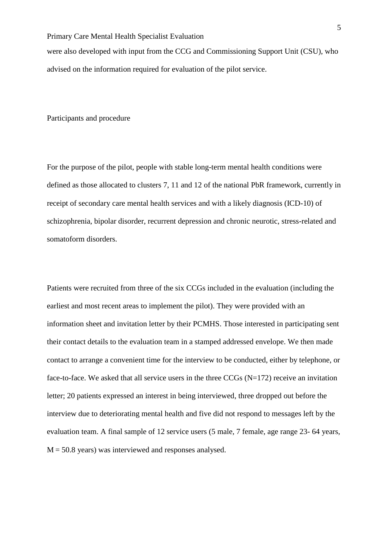were also developed with input from the CCG and Commissioning Support Unit (CSU), who advised on the information required for evaluation of the pilot service.

Participants and procedure

For the purpose of the pilot, people with stable long-term mental health conditions were defined as those allocated to clusters 7, 11 and 12 of the national PbR framework, currently in receipt of secondary care mental health services and with a likely diagnosis (ICD-10) of schizophrenia, bipolar disorder, recurrent depression and chronic neurotic, stress-related and somatoform disorders.

Patients were recruited from three of the six CCGs included in the evaluation (including the earliest and most recent areas to implement the pilot). They were provided with an information sheet and invitation letter by their PCMHS. Those interested in participating sent their contact details to the evaluation team in a stamped addressed envelope. We then made contact to arrange a convenient time for the interview to be conducted, either by telephone, or face-to-face. We asked that all service users in the three CCGs (N=172) receive an invitation letter; 20 patients expressed an interest in being interviewed, three dropped out before the interview due to deteriorating mental health and five did not respond to messages left by the evaluation team. A final sample of 12 service users (5 male, 7 female, age range 23- 64 years,  $M = 50.8$  years) was interviewed and responses analysed.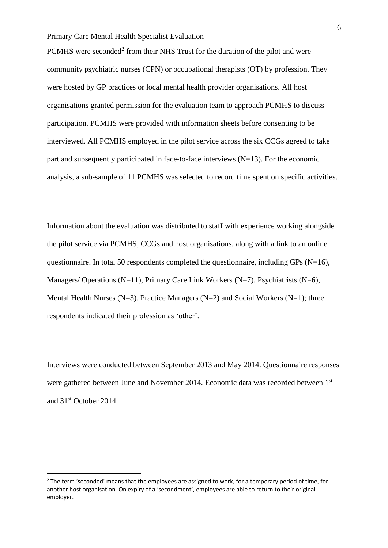PCMHS were seconded<sup>2</sup> from their NHS Trust for the duration of the pilot and were community psychiatric nurses (CPN) or occupational therapists (OT) by profession. They were hosted by GP practices or local mental health provider organisations. All host organisations granted permission for the evaluation team to approach PCMHS to discuss participation. PCMHS were provided with information sheets before consenting to be interviewed. All PCMHS employed in the pilot service across the six CCGs agreed to take part and subsequently participated in face-to-face interviews  $(N=13)$ . For the economic analysis, a sub-sample of 11 PCMHS was selected to record time spent on specific activities.

Information about the evaluation was distributed to staff with experience working alongside the pilot service via PCMHS, CCGs and host organisations, along with a link to an online questionnaire. In total 50 respondents completed the questionnaire, including GPs (N=16), Managers/ Operations (N=11), Primary Care Link Workers (N=7), Psychiatrists (N=6), Mental Health Nurses (N=3), Practice Managers (N=2) and Social Workers (N=1); three respondents indicated their profession as 'other'.

Interviews were conducted between September 2013 and May 2014. Questionnaire responses were gathered between June and November 2014. Economic data was recorded between 1st and 31st October 2014.

<u>.</u>

<sup>&</sup>lt;sup>2</sup> The term 'seconded' means that the employees are assigned to work, for a temporary period of time, for another host organisation. On expiry of a 'secondment', employees are able to return to their original employer.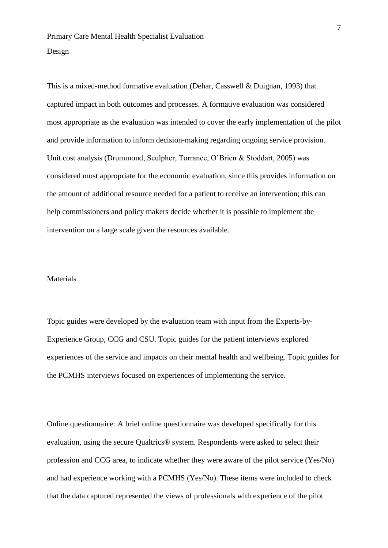This is a mixed-method formative evaluation (Dehar, Casswell & Duignan, 1993) that captured impact in both outcomes and processes. A formative evaluation was considered most appropriate as the evaluation was intended to cover the early implementation of the pilot and provide information to inform decision-making regarding ongoing service provision. Unit cost analysis (Drummond, Sculpher, Torrance, O'Brien & Stoddart, 2005) was considered most appropriate for the economic evaluation, since this provides information on the amount of additional resource needed for a patient to receive an intervention; this can help commissioners and policy makers decide whether it is possible to implement the intervention on a large scale given the resources available.

#### Materials

Topic guides were developed by the evaluation team with input from the Experts-by-Experience Group, CCG and CSU. Topic guides for the patient interviews explored experiences of the service and impacts on their mental health and wellbeing. Topic guides for the PCMHS interviews focused on experiences of implementing the service.

Online questionnaire: A brief online questionnaire was developed specifically for this evaluation, using the secure Qualtrics® system. Respondents were asked to select their profession and CCG area, to indicate whether they were aware of the pilot service (Yes/No) and had experience working with a PCMHS (Yes/No). These items were included to check that the data captured represented the views of professionals with experience of the pilot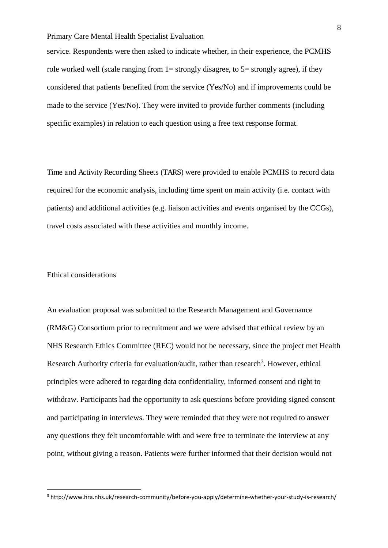service. Respondents were then asked to indicate whether, in their experience, the PCMHS role worked well (scale ranging from  $1=$  strongly disagree, to  $5=$  strongly agree), if they considered that patients benefited from the service (Yes/No) and if improvements could be made to the service (Yes/No). They were invited to provide further comments (including specific examples) in relation to each question using a free text response format.

Time and Activity Recording Sheets (TARS) were provided to enable PCMHS to record data required for the economic analysis, including time spent on main activity (i.e. contact with patients) and additional activities (e.g. liaison activities and events organised by the CCGs), travel costs associated with these activities and monthly income.

# Ethical considerations

<u>.</u>

An evaluation proposal was submitted to the Research Management and Governance (RM&G) Consortium prior to recruitment and we were advised that ethical review by an NHS Research Ethics Committee (REC) would not be necessary, since the project met Health Research Authority criteria for evaluation/audit, rather than research<sup>3</sup>. However, ethical principles were adhered to regarding data confidentiality, informed consent and right to withdraw. Participants had the opportunity to ask questions before providing signed consent and participating in interviews. They were reminded that they were not required to answer any questions they felt uncomfortable with and were free to terminate the interview at any point, without giving a reason. Patients were further informed that their decision would not

<sup>&</sup>lt;sup>3</sup> http://www.hra.nhs.uk/research-community/before-you-apply/determine-whether-your-study-is-research/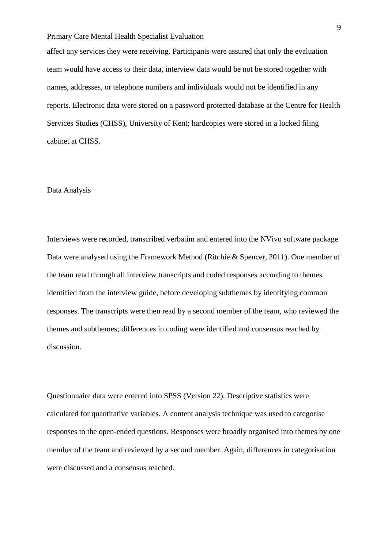affect any services they were receiving. Participants were assured that only the evaluation team would have access to their data, interview data would be not be stored together with names, addresses, or telephone numbers and individuals would not be identified in any reports. Electronic data were stored on a password protected database at the Centre for Health Services Studies (CHSS), University of Kent; hardcopies were stored in a locked filing cabinet at CHSS.

#### Data Analysis

Interviews were recorded, transcribed verbatim and entered into the NVivo software package. Data were analysed using the Framework Method (Ritchie & Spencer, 2011). One member of the team read through all interview transcripts and coded responses according to themes identified from the interview guide, before developing subthemes by identifying common responses. The transcripts were then read by a second member of the team, who reviewed the themes and subthemes; differences in coding were identified and consensus reached by discussion.

Questionnaire data were entered into SPSS (Version 22). Descriptive statistics were calculated for quantitative variables. A content analysis technique was used to categorise responses to the open-ended questions. Responses were broadly organised into themes by one member of the team and reviewed by a second member. Again, differences in categorisation were discussed and a consensus reached.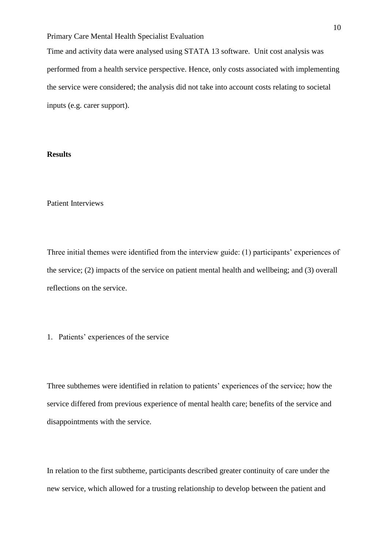Time and activity data were analysed using STATA 13 software. Unit cost analysis was performed from a health service perspective. Hence, only costs associated with implementing the service were considered; the analysis did not take into account costs relating to societal inputs (e.g. carer support).

# **Results**

# Patient Interviews

Three initial themes were identified from the interview guide: (1) participants' experiences of the service; (2) impacts of the service on patient mental health and wellbeing; and (3) overall reflections on the service.

#### 1. Patients' experiences of the service

Three subthemes were identified in relation to patients' experiences of the service; how the service differed from previous experience of mental health care; benefits of the service and disappointments with the service.

In relation to the first subtheme, participants described greater continuity of care under the new service, which allowed for a trusting relationship to develop between the patient and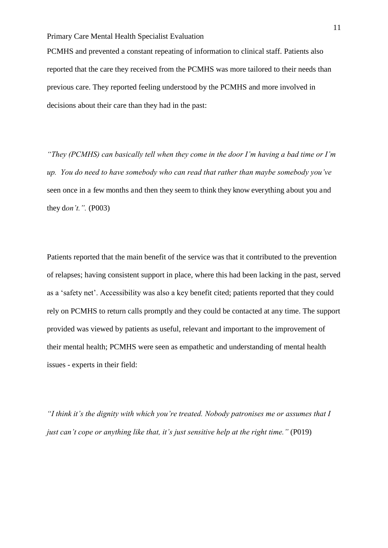PCMHS and prevented a constant repeating of information to clinical staff. Patients also reported that the care they received from the PCMHS was more tailored to their needs than previous care. They reported feeling understood by the PCMHS and more involved in decisions about their care than they had in the past:

*"They (PCMHS) can basically tell when they come in the door I'm having a bad time or I'm up. You do need to have somebody who can read that rather than maybe somebody you've*  seen once in a few months and then they seem to think they know everything about you and they d*on't.".* (P003)

Patients reported that the main benefit of the service was that it contributed to the prevention of relapses; having consistent support in place, where this had been lacking in the past, served as a 'safety net'. Accessibility was also a key benefit cited; patients reported that they could rely on PCMHS to return calls promptly and they could be contacted at any time. The support provided was viewed by patients as useful, relevant and important to the improvement of their mental health; PCMHS were seen as empathetic and understanding of mental health issues - experts in their field:

*"I think it's the dignity with which you're treated. Nobody patronises me or assumes that I just can't cope or anything like that, it's just sensitive help at the right time.*" *(P019)*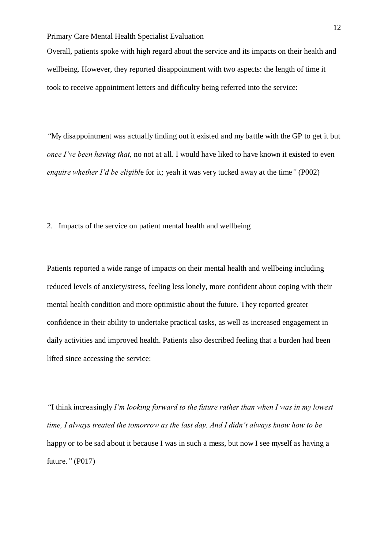Overall, patients spoke with high regard about the service and its impacts on their health and wellbeing. However, they reported disappointment with two aspects: the length of time it took to receive appointment letters and difficulty being referred into the service:

*"*My disappointment was actually finding out it existed and my battle with the GP to get it but *once I've been having that,* no not at all. I would have liked to have known it existed to even *enquire whether I'd be eligibl*e for it; yeah it was very tucked away at the time*"* (P002)

2. Impacts of the service on patient mental health and wellbeing

Patients reported a wide range of impacts on their mental health and wellbeing including reduced levels of anxiety/stress, feeling less lonely, more confident about coping with their mental health condition and more optimistic about the future. They reported greater confidence in their ability to undertake practical tasks, as well as increased engagement in daily activities and improved health. Patients also described feeling that a burden had been lifted since accessing the service:

*"*I think increasingly *I'm looking forward to the future rather than when I was in my lowest time, I always treated the tomorrow as the last day. And I didn't always know how to be*  happy or to be sad about it because I was in such a mess, but now I see myself as having a future.*"* (P017)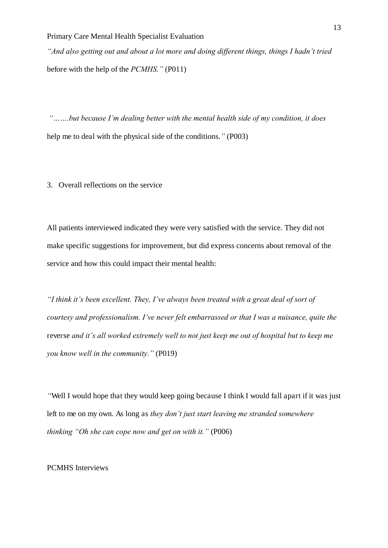*"And also getting out and about a lot more and doing different things, things I hadn't tried*  before with the help of the *PCMHS."* (P011)

*"…….but because I'm dealing better with the mental health side of my condition, it does*  help me to deal with the physical side of the conditions.*"* (P003)

3. Overall reflections on the service

All patients interviewed indicated they were very satisfied with the service. They did not make specific suggestions for improvement, but did express concerns about removal of the service and how this could impact their mental health:

*"I think it's been excellent. They, I've always been treated with a great deal of sort of courtesy and professionalism. I've never felt embarrassed or that I was a nuisance, quite the*  reverse *and it's all worked extremely well to not just keep me out of hospital but to keep me you know well in the community."* (P019)

*"*Well I would hope that they would keep going because I think I would fall apart if it was just left to me on my own. As long as *they don't just start leaving me stranded somewhere thinking "Oh she can cope now and get on with it."* (P006)

# PCMHS Interviews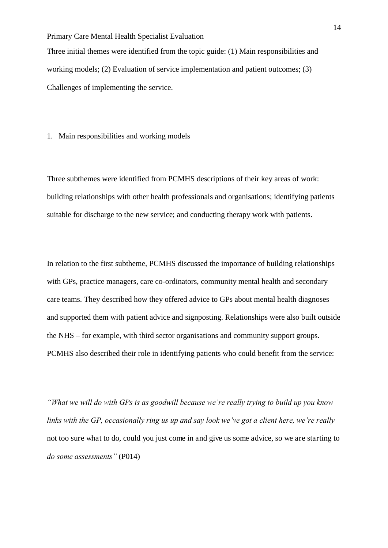Three initial themes were identified from the topic guide: (1) Main responsibilities and working models; (2) Evaluation of service implementation and patient outcomes; (3) Challenges of implementing the service.

1. Main responsibilities and working models

Three subthemes were identified from PCMHS descriptions of their key areas of work: building relationships with other health professionals and organisations; identifying patients suitable for discharge to the new service; and conducting therapy work with patients.

In relation to the first subtheme, PCMHS discussed the importance of building relationships with GPs, practice managers, care co-ordinators, community mental health and secondary care teams. They described how they offered advice to GPs about mental health diagnoses and supported them with patient advice and signposting. Relationships were also built outside the NHS – for example, with third sector organisations and community support groups. PCMHS also described their role in identifying patients who could benefit from the service:

*"What we will do with GPs is as goodwill because we're really trying to build up you know links with the GP, occasionally ring us up and say look we've got a client here, we're really* not too sure what to do, could you just come in and give us some advice, so we are starting to *do some assessments"* (P014)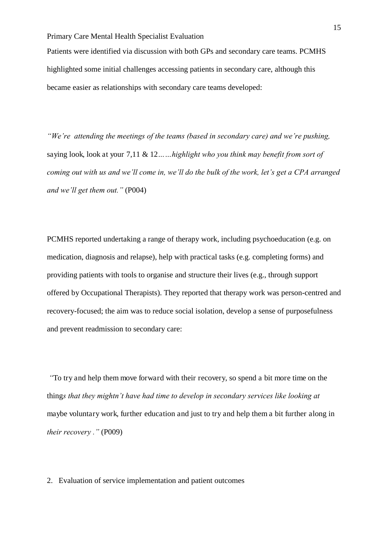Patients were identified via discussion with both GPs and secondary care teams. PCMHS highlighted some initial challenges accessing patients in secondary care, although this became easier as relationships with secondary care teams developed:

*"We're attending the meetings of the teams (based in secondary care) and we're pushing,*  saying look, look at your 7,11 & 12*……highlight who you think may benefit from sort of coming out with us and we'll come in, we'll do the bulk of the work, let's get a CPA arranged and we'll get them out."* (P004)

PCMHS reported undertaking a range of therapy work, including psychoeducation (e.g. on medication, diagnosis and relapse), help with practical tasks (e.g. completing forms) and providing patients with tools to organise and structure their lives (e.g., through support offered by Occupational Therapists). They reported that therapy work was person-centred and recovery-focused; the aim was to reduce social isolation, develop a sense of purposefulness and prevent readmission to secondary care:

*"*To try and help them move forward with their recovery, so spend a bit more time on the thing*s that they mightn't have had time to develop in secondary services like looking at*  maybe voluntary work, further education and just to try and help them a bit further along in *their recovery ."* (P009)

# 2. Evaluation of service implementation and patient outcomes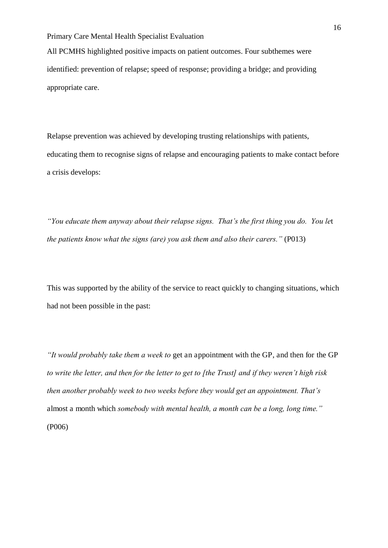All PCMHS highlighted positive impacts on patient outcomes. Four subthemes were identified: prevention of relapse; speed of response; providing a bridge; and providing appropriate care.

Relapse prevention was achieved by developing trusting relationships with patients, educating them to recognise signs of relapse and encouraging patients to make contact before a crisis develops:

*"You educate them anyway about their relapse signs. That's the first thing you do. You le*t *the patients know what the signs (are) you ask them and also their carers."* (P013)

This was supported by the ability of the service to react quickly to changing situations, which had not been possible in the past:

*"It would probably take them a week to* get an appointment with the GP, and then for the GP *to write the letter, and then for the letter to get to [the Trust] and if they weren't high risk then another probably week to two weeks before they would get an appointment. That's*  almost a month which *somebody with mental health, a month can be a long, long time."*  (P006)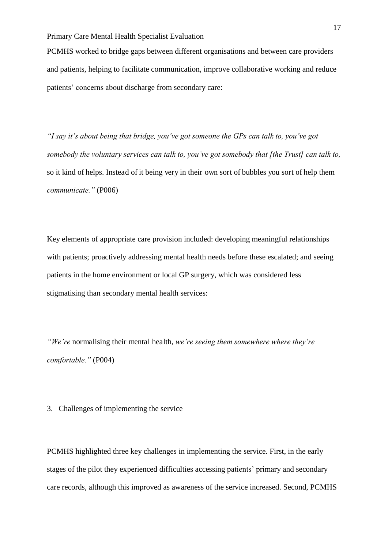PCMHS worked to bridge gaps between different organisations and between care providers and patients, helping to facilitate communication, improve collaborative working and reduce patients' concerns about discharge from secondary care:

*"I say it's about being that bridge, you've got someone the GPs can talk to, you've got somebody the voluntary services can talk to, you've got somebody that [the Trust] can talk to,*  so it kind of helps. Instead of it being very in their own sort of bubbles you sort of help them *communicate."* (P006)

Key elements of appropriate care provision included: developing meaningful relationships with patients; proactively addressing mental health needs before these escalated; and seeing patients in the home environment or local GP surgery, which was considered less stigmatising than secondary mental health services:

*"We're* normalising their mental health, *we're seeing them somewhere where they're comfortable."* (P004)

3. Challenges of implementing the service

PCMHS highlighted three key challenges in implementing the service. First, in the early stages of the pilot they experienced difficulties accessing patients' primary and secondary care records, although this improved as awareness of the service increased. Second, PCMHS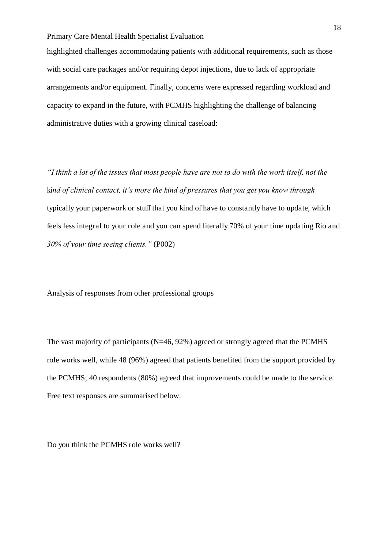highlighted challenges accommodating patients with additional requirements, such as those with social care packages and/or requiring depot injections, due to lack of appropriate arrangements and/or equipment. Finally, concerns were expressed regarding workload and capacity to expand in the future, with PCMHS highlighting the challenge of balancing administrative duties with a growing clinical caseload:

*"I think a lot of the issues that most people have are not to do with the work itself, not the*  ki*nd of clinical contact, it's more the kind of pressures that you get you know through*  typically your paperwork or stuff that you kind of have to constantly have to update, which feels less integral to your role and you can spend literally 70% of your time updating Rio and *30% of your time seeing clients."* (P002)

Analysis of responses from other professional groups

The vast majority of participants (N=46, 92%) agreed or strongly agreed that the PCMHS role works well, while 48 (96%) agreed that patients benefited from the support provided by the PCMHS; 40 respondents (80%) agreed that improvements could be made to the service. Free text responses are summarised below.

Do you think the PCMHS role works well?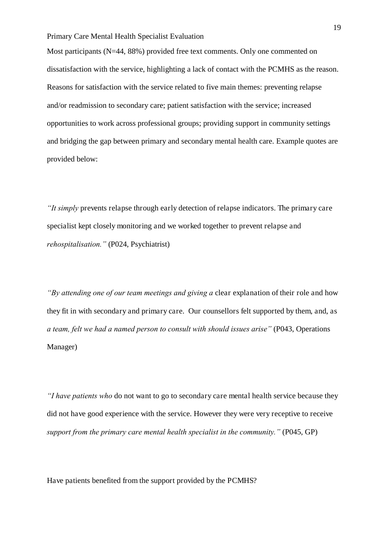Most participants (N=44, 88%) provided free text comments. Only one commented on dissatisfaction with the service, highlighting a lack of contact with the PCMHS as the reason. Reasons for satisfaction with the service related to five main themes: preventing relapse and/or readmission to secondary care; patient satisfaction with the service; increased opportunities to work across professional groups; providing support in community settings and bridging the gap between primary and secondary mental health care. Example quotes are provided below:

*"It simply* prevents relapse through early detection of relapse indicators. The primary care specialist kept closely monitoring and we worked together to prevent relapse and *rehospitalisation."* (P024, Psychiatrist)

*"By attending one of our team meetings and giving a* clear explanation of their role and how they fit in with secondary and primary care. Our counsellors felt supported by them, and, as *a team, felt we had a named person to consult with should issues arise"* (P043, Operations Manager)

*"I have patients who* do not want to go to secondary care mental health service because they did not have good experience with the service. However they were very receptive to receive *support from the primary care mental health specialist in the community."* (P045, GP)

Have patients benefited from the support provided by the PCMHS?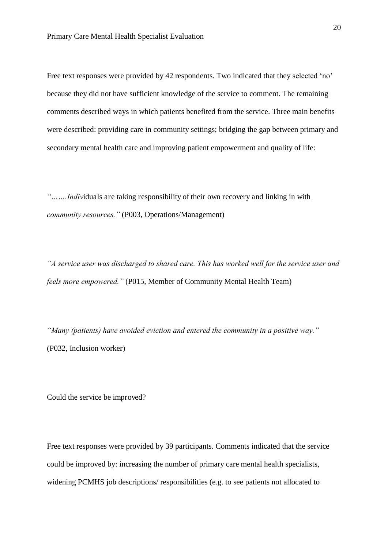Free text responses were provided by 42 respondents. Two indicated that they selected 'no' because they did not have sufficient knowledge of the service to comment. The remaining comments described ways in which patients benefited from the service. Three main benefits were described: providing care in community settings; bridging the gap between primary and secondary mental health care and improving patient empowerment and quality of life:

*"…….Indiv*iduals are taking responsibility of their own recovery and linking in with *community resources."* (P003, Operations/Management)

*"A service user was discharged to shared care. This has worked well for the service user and feels more empowered."* (P015, Member of Community Mental Health Team)

*"Many (patients) have avoided eviction and entered the community in a positive way."* (P032, Inclusion worker)

Could the service be improved?

Free text responses were provided by 39 participants. Comments indicated that the service could be improved by: increasing the number of primary care mental health specialists, widening PCMHS job descriptions/ responsibilities (e.g. to see patients not allocated to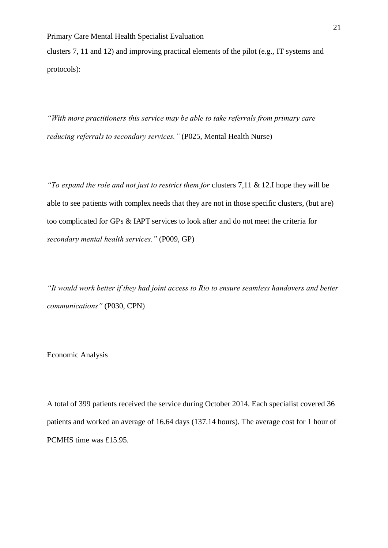clusters 7, 11 and 12) and improving practical elements of the pilot (e.g., IT systems and protocols):

*"With more practitioners this service may be able to take referrals from primary care reducing referrals to secondary services."* (P025, Mental Health Nurse)

*"To expand the role and not just to restrict them for clusters 7,11 & 12.I hope they will be* able to see patients with complex needs that they are not in those specific clusters, (but are) too complicated for GPs & IAPT services to look after and do not meet the criteria for *secondary mental health services."* (P009, GP)

*"It would work better if they had joint access to Rio to ensure seamless handovers and better communications"* (P030, CPN)

Economic Analysis

A total of 399 patients received the service during October 2014. Each specialist covered 36 patients and worked an average of 16.64 days (137.14 hours). The average cost for 1 hour of PCMHS time was £15.95.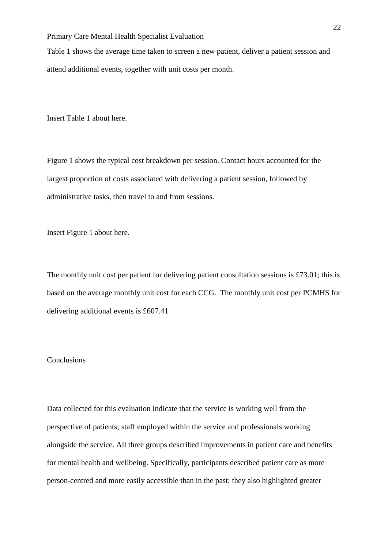Table 1 shows the average time taken to screen a new patient, deliver a patient session and attend additional events, together with unit costs per month.

Insert Table 1 about here.

Figure 1 shows the typical cost breakdown per session. Contact hours accounted for the largest proportion of costs associated with delivering a patient session, followed by administrative tasks, then travel to and from sessions.

Insert Figure 1 about here.

The monthly unit cost per patient for delivering patient consultation sessions is £73.01; this is based on the average monthly unit cost for each CCG. The monthly unit cost per PCMHS for delivering additional events is £607.41

# **Conclusions**

Data collected for this evaluation indicate that the service is working well from the perspective of patients; staff employed within the service and professionals working alongside the service. All three groups described improvements in patient care and benefits for mental health and wellbeing. Specifically, participants described patient care as more person-centred and more easily accessible than in the past; they also highlighted greater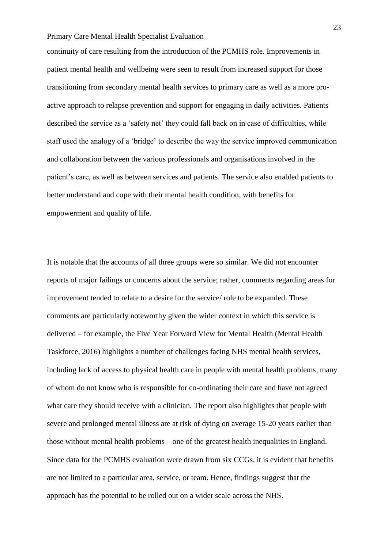continuity of care resulting from the introduction of the PCMHS role. Improvements in patient mental health and wellbeing were seen to result from increased support for those transitioning from secondary mental health services to primary care as well as a more proactive approach to relapse prevention and support for engaging in daily activities. Patients described the service as a 'safety net' they could fall back on in case of difficulties, while staff used the analogy of a 'bridge' to describe the way the service improved communication and collaboration between the various professionals and organisations involved in the patient's care, as well as between services and patients. The service also enabled patients to better understand and cope with their mental health condition, with benefits for empowerment and quality of life.

It is notable that the accounts of all three groups were so similar. We did not encounter reports of major failings or concerns about the service; rather, comments regarding areas for improvement tended to relate to a desire for the service/ role to be expanded. These comments are particularly noteworthy given the wider context in which this service is delivered – for example, the Five Year Forward View for Mental Health (Mental Health Taskforce, 2016) highlights a number of challenges facing NHS mental health services, including lack of access to physical health care in people with mental health problems, many of whom do not know who is responsible for co-ordinating their care and have not agreed what care they should receive with a clinician. The report also highlights that people with severe and prolonged mental illness are at risk of dying on average 15-20 years earlier than those without mental health problems – one of the greatest health inequalities in England. Since data for the PCMHS evaluation were drawn from six CCGs, it is evident that benefits are not limited to a particular area, service, or team. Hence, findings suggest that the approach has the potential to be rolled out on a wider scale across the NHS.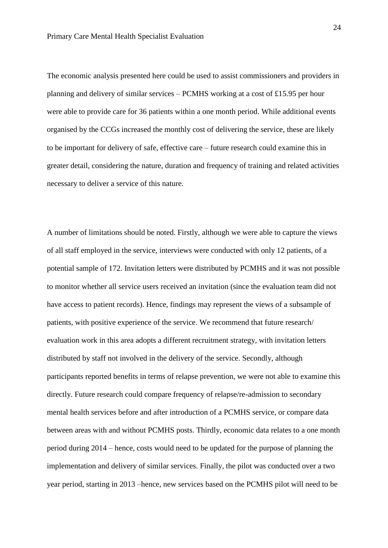The economic analysis presented here could be used to assist commissioners and providers in planning and delivery of similar services – PCMHS working at a cost of £15.95 per hour were able to provide care for 36 patients within a one month period. While additional events organised by the CCGs increased the monthly cost of delivering the service, these are likely to be important for delivery of safe, effective care – future research could examine this in greater detail, considering the nature, duration and frequency of training and related activities necessary to deliver a service of this nature.

A number of limitations should be noted. Firstly, although we were able to capture the views of all staff employed in the service, interviews were conducted with only 12 patients, of a potential sample of 172. Invitation letters were distributed by PCMHS and it was not possible to monitor whether all service users received an invitation (since the evaluation team did not have access to patient records). Hence, findings may represent the views of a subsample of patients, with positive experience of the service. We recommend that future research/ evaluation work in this area adopts a different recruitment strategy, with invitation letters distributed by staff not involved in the delivery of the service. Secondly, although participants reported benefits in terms of relapse prevention, we were not able to examine this directly. Future research could compare frequency of relapse/re-admission to secondary mental health services before and after introduction of a PCMHS service, or compare data between areas with and without PCMHS posts. Thirdly, economic data relates to a one month period during 2014 – hence, costs would need to be updated for the purpose of planning the implementation and delivery of similar services. Finally, the pilot was conducted over a two year period, starting in 2013 –hence, new services based on the PCMHS pilot will need to be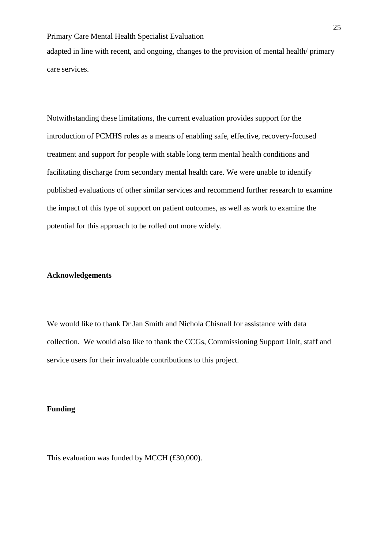adapted in line with recent, and ongoing, changes to the provision of mental health/ primary care services.

Notwithstanding these limitations, the current evaluation provides support for the introduction of PCMHS roles as a means of enabling safe, effective, recovery-focused treatment and support for people with stable long term mental health conditions and facilitating discharge from secondary mental health care. We were unable to identify published evaluations of other similar services and recommend further research to examine the impact of this type of support on patient outcomes, as well as work to examine the potential for this approach to be rolled out more widely.

# **Acknowledgements**

We would like to thank Dr Jan Smith and Nichola Chisnall for assistance with data collection. We would also like to thank the CCGs, Commissioning Support Unit, staff and service users for their invaluable contributions to this project.

#### **Funding**

This evaluation was funded by MCCH (£30,000).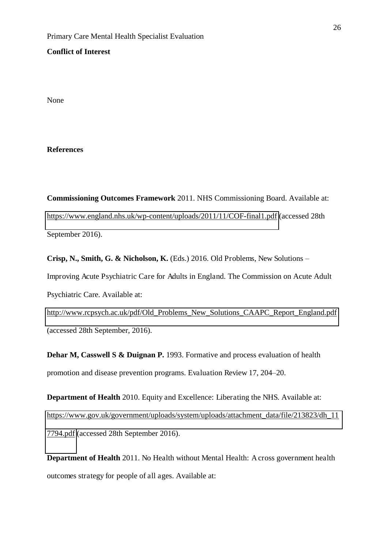### **Conflict of Interest**

None

### **References**

**Commissioning Outcomes Framework** 2011. NHS Commissioning Board. Available at: <https://www.england.nhs.uk/wp-content/uploads/2011/11/COF-final1.pdf>(accessed 28th September 2016).

**Crisp, N., Smith, G. & Nicholson, K.** (Eds.) 2016. Old Problems, New Solutions *–* Improving Acute Psychiatric Care for Adults in England. The Commission on Acute Adult Psychiatric Care. Available at:

[http://www.rcpsych.ac.uk/pdf/Old\\_Problems\\_New\\_Solutions\\_CAAPC\\_Report\\_England.pdf](http://www.rcpsych.ac.uk/pdf/Old_Problems_New_Solutions_CAAPC_Report_England.pdf)  (accessed 28th September, 2016).

**Dehar M, Casswell S & Duignan P.** 1993. Formative and process evaluation of health promotion and disease prevention programs. Evaluation Review 17, 204–20.

**Department of Health** 2010. Equity and Excellence: Liberating the NHS. Available at: [https://www.gov.uk/government/uploads/system/uploads/attachment\\_data/file/213823/dh\\_11](https://www.gov.uk/government/uploads/system/uploads/attachment_data/file/213823/dh_117794.pdf) [7794.pdf](https://www.gov.uk/government/uploads/system/uploads/attachment_data/file/213823/dh_117794.pdf) (accessed 28th September 2016).

**Department of Health** 2011. No Health without Mental Health: A cross government health outcomes strategy for people of all ages. Available at: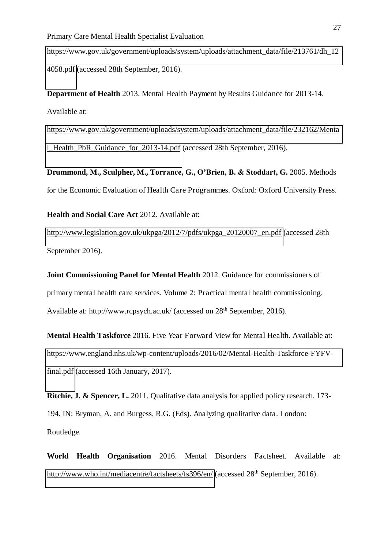[https://www.gov.uk/government/uploads/system/uploads/attachment\\_data/file/213761/dh\\_12](https://www.gov.uk/government/uploads/system/uploads/attachment_data/file/213761/dh_124058.pdf) [4058.pdf](https://www.gov.uk/government/uploads/system/uploads/attachment_data/file/213761/dh_124058.pdf) (accessed 28th September, 2016).

**Department of Health** 2013. Mental Health Payment by Results Guidance for 2013-14. Available at:

[https://www.gov.uk/government/uploads/system/uploads/attachment\\_data/file/232162/Menta](https://www.gov.uk/government/uploads/system/uploads/attachment_data/file/232162/Mental_Health_PbR_Guidance_for_2013-14.pdf) [l\\_Health\\_PbR\\_Guidance\\_for\\_2013-14.pdf](https://www.gov.uk/government/uploads/system/uploads/attachment_data/file/232162/Mental_Health_PbR_Guidance_for_2013-14.pdf) (accessed 28th September, 2016).

**Drummond, M., Sculpher, M., Torrance, G., O'Brien, B. & Stoddart, G.** 2005. Methods for the Economic Evaluation of Health Care Programmes. Oxford: Oxford University Press.

**Health and Social Care Act** 2012. Available at:

[http://www.legislation.gov.uk/ukpga/2012/7/pdfs/ukpga\\_20120007\\_en.pdf](http://www.legislation.gov.uk/ukpga/2012/7/pdfs/ukpga_20120007_en.pdf) (accessed 28th September 2016).

**Joint Commissioning Panel for Mental Health** 2012. Guidance for commissioners of primary mental health care services. Volume 2: Practical mental health commissioning. Available at: http://www.rcpsych.ac.uk/ (accessed on 28<sup>th</sup> September, 2016).

**Mental Health Taskforce** 2016. Five Year Forward View for Mental Health. Available at: [https://www.england.nhs.uk/wp-content/uploads/2016/02/Mental-Health-Taskforce-FYFV](https://www.england.nhs.uk/wp-content/uploads/2016/02/Mental-Health-Taskforce-FYFV-final.pdf)[final.pdf](https://www.england.nhs.uk/wp-content/uploads/2016/02/Mental-Health-Taskforce-FYFV-final.pdf) (accessed 16th January, 2017).

**Ritchie, J. & Spencer, L.** 2011. Qualitative data analysis for applied policy research. 173-194. IN: Bryman, A. and Burgess, R.G. (Eds). Analyzing qualitative data. London: Routledge.

**World Health Organisation** 2016. Mental Disorders Factsheet. Available at: <http://www.who.int/mediacentre/factsheets/fs396/en/>(accessed 28<sup>th</sup> September, 2016).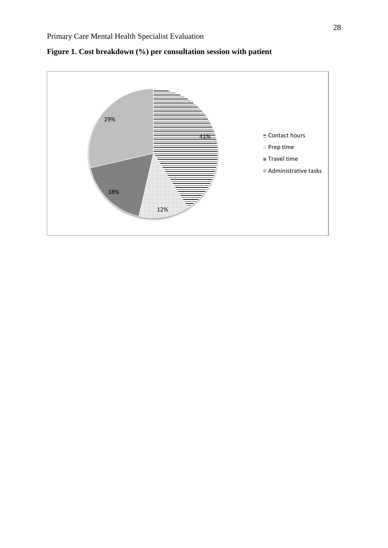

**Figure 1. Cost breakdown (%) per consultation session with patient**